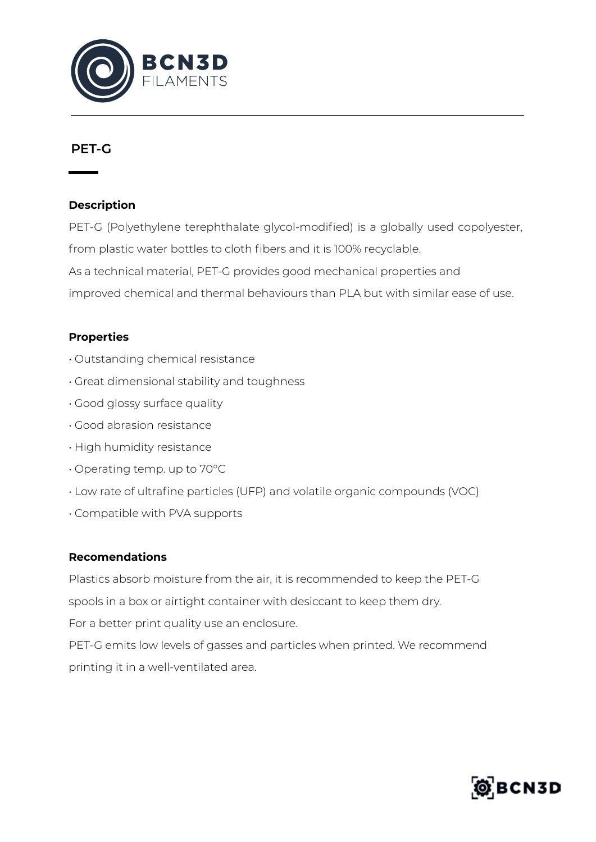

## **PET-G**

#### **Description**

PET-G (Polyethylene terephthalate glycol-modified) is a globally used copolyester, from plastic water bottles to cloth fibers and it is 100% recyclable. As a technical material, PET-G provides good mechanical properties and improved chemical and thermal behaviours than PLA but with similar ease of use.

### **Properties**

- Outstanding chemical resistance
- Great dimensional stability and toughness
- Good glossy surface quality
- Good abrasion resistance
- High humidity resistance
- Operating temp. up to 70°C
- Low rate of ultrafine particles (UFP) and volatile organic compounds (VOC)
- Compatible with PVA supports

#### **Recomendations**

Plastics absorb moisture from the air, it is recommended to keep the PET-G spools in a box or airtight container with desiccant to keep them dry.

For a better print quality use an enclosure.

PET-G emits low levels of gasses and particles when printed. We recommend printing it in a well-ventilated area.